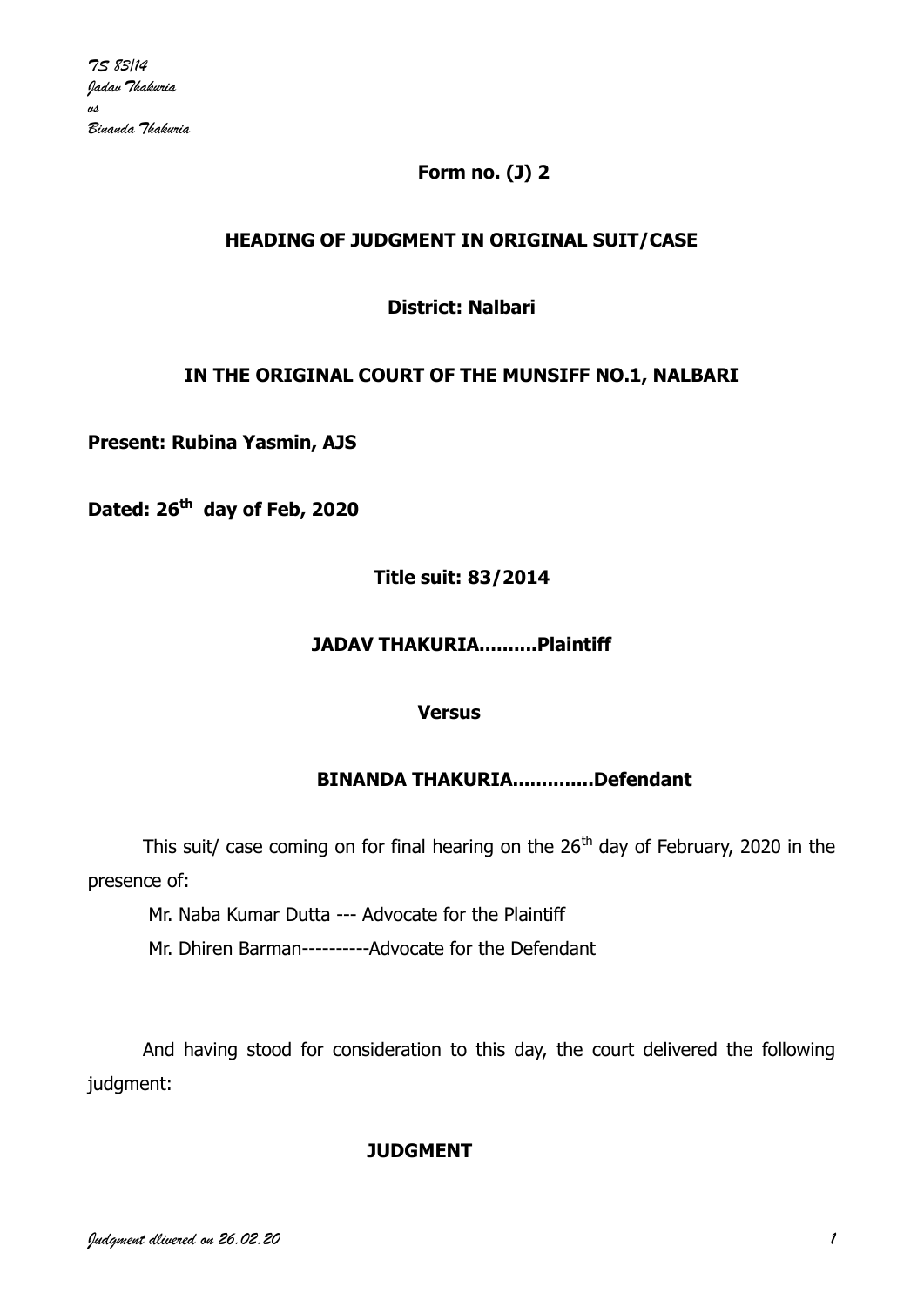# **Form no. (J) 2**

### **HEADING OF JUDGMENT IN ORIGINAL SUIT/CASE**

### **District: Nalbari**

### **IN THE ORIGINAL COURT OF THE MUNSIFF NO.1, NALBARI**

**Present: Rubina Yasmin, AJS**

**Dated: 26th day of Feb, 2020**

**Title suit: 83/2014**

#### **JADAV THAKURIA..........Plaintiff**

#### **Versus**

### **BINANDA THAKURIA..............Defendant**

This suit/ case coming on for final hearing on the  $26<sup>th</sup>$  day of February, 2020 in the presence of:

Mr. Naba Kumar Dutta --- Advocate for the Plaintiff

Mr. Dhiren Barman----------Advocate for the Defendant

And having stood for consideration to this day, the court delivered the following judgment:

### **JUDGMENT**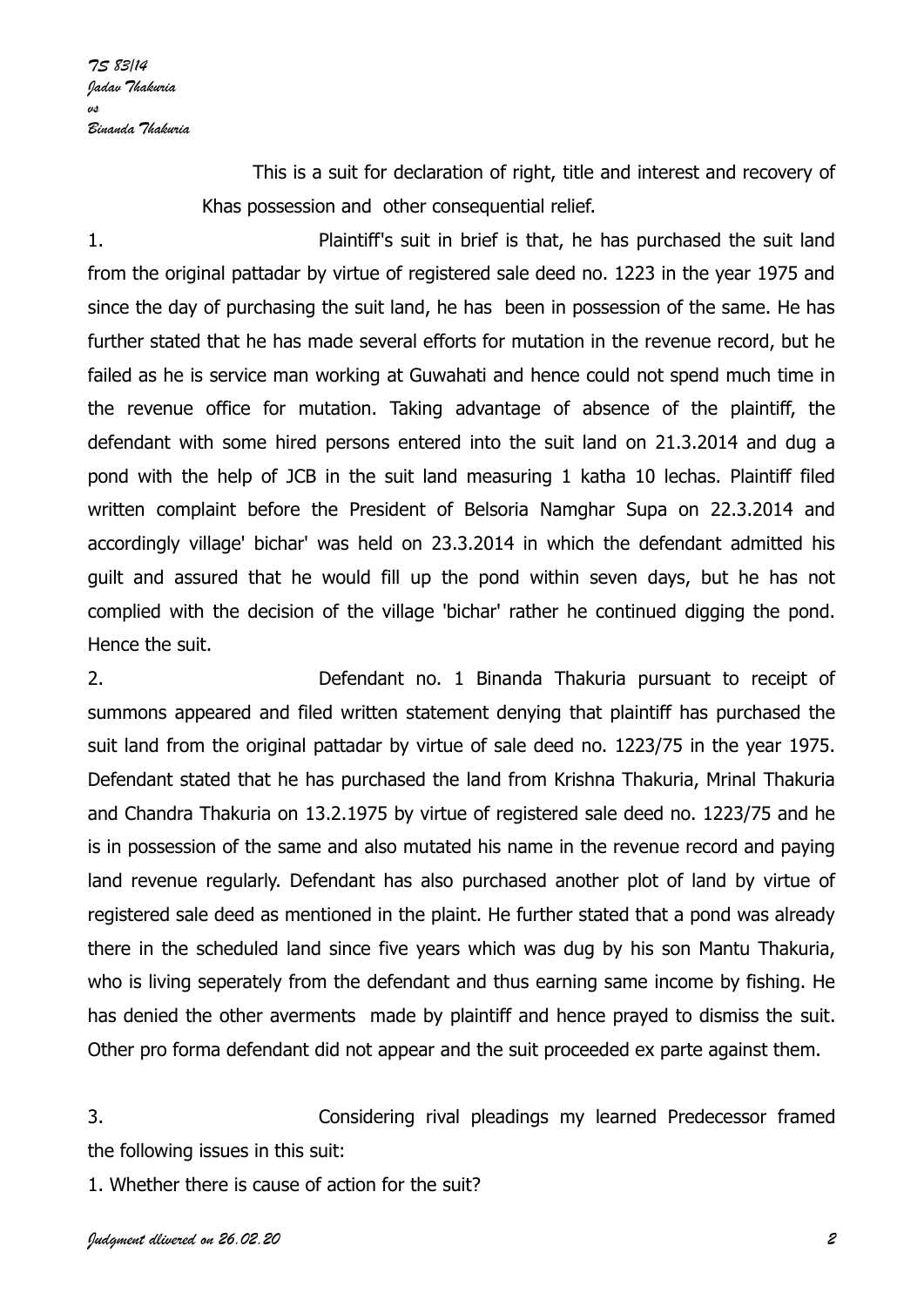This is a suit for declaration of right, title and interest and recovery of Khas possession and other consequential relief.

1. Plaintiff's suit in brief is that, he has purchased the suit land from the original pattadar by virtue of registered sale deed no. 1223 in the year 1975 and since the day of purchasing the suit land, he has been in possession of the same. He has further stated that he has made several efforts for mutation in the revenue record, but he failed as he is service man working at Guwahati and hence could not spend much time in the revenue office for mutation. Taking advantage of absence of the plaintiff, the defendant with some hired persons entered into the suit land on 21.3.2014 and dug a pond with the help of JCB in the suit land measuring 1 katha 10 lechas. Plaintiff filed written complaint before the President of Belsoria Namghar Supa on 22.3.2014 and accordingly village' bichar' was held on 23.3.2014 in which the defendant admitted his guilt and assured that he would fill up the pond within seven days, but he has not complied with the decision of the village 'bichar' rather he continued digging the pond. Hence the suit.

2. Defendant no. 1 Binanda Thakuria pursuant to receipt of summons appeared and filed written statement denying that plaintiff has purchased the suit land from the original pattadar by virtue of sale deed no. 1223/75 in the year 1975. Defendant stated that he has purchased the land from Krishna Thakuria, Mrinal Thakuria and Chandra Thakuria on 13.2.1975 by virtue of registered sale deed no. 1223/75 and he is in possession of the same and also mutated his name in the revenue record and paying land revenue regularly. Defendant has also purchased another plot of land by virtue of registered sale deed as mentioned in the plaint. He further stated that a pond was already there in the scheduled land since five years which was dug by his son Mantu Thakuria, who is living seperately from the defendant and thus earning same income by fishing. He has denied the other averments made by plaintiff and hence prayed to dismiss the suit. Other pro forma defendant did not appear and the suit proceeded ex parte against them.

3. Considering rival pleadings my learned Predecessor framed the following issues in this suit:

1. Whether there is cause of action for the suit?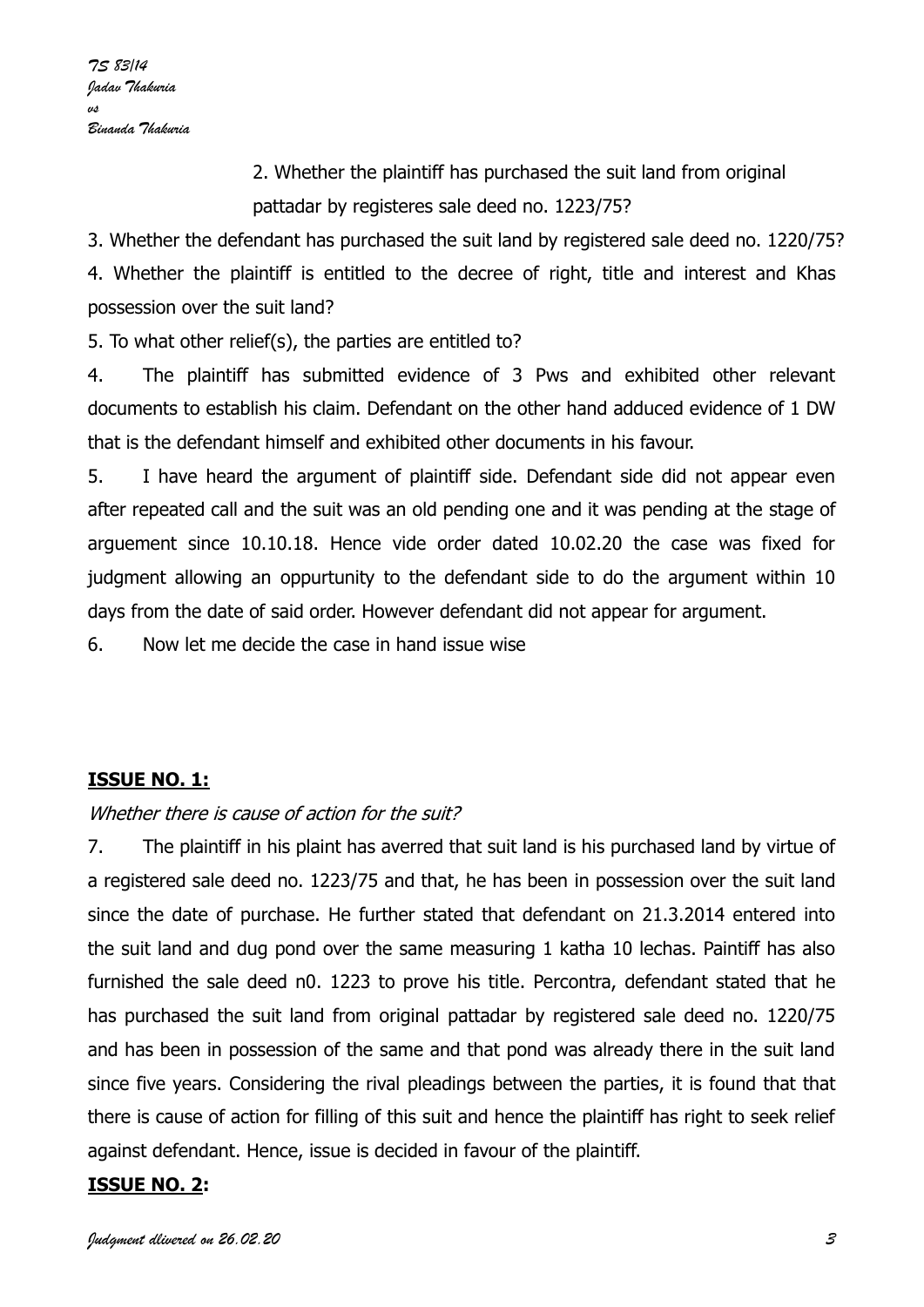2. Whether the plaintiff has purchased the suit land from original pattadar by registeres sale deed no. 1223/75?

3. Whether the defendant has purchased the suit land by registered sale deed no. 1220/75? 4. Whether the plaintiff is entitled to the decree of right, title and interest and Khas possession over the suit land?

5. To what other relief(s), the parties are entitled to?

4. The plaintiff has submitted evidence of 3 Pws and exhibited other relevant documents to establish his claim. Defendant on the other hand adduced evidence of 1 DW that is the defendant himself and exhibited other documents in his favour.

5. I have heard the argument of plaintiff side. Defendant side did not appear even after repeated call and the suit was an old pending one and it was pending at the stage of arguement since 10.10.18. Hence vide order dated 10.02.20 the case was fixed for judgment allowing an oppurtunity to the defendant side to do the argument within 10 days from the date of said order. However defendant did not appear for argument.

6. Now let me decide the case in hand issue wise

# **ISSUE NO. 1:**

### Whether there is cause of action for the suit?

7. The plaintiff in his plaint has averred that suit land is his purchased land by virtue of a registered sale deed no. 1223/75 and that, he has been in possession over the suit land since the date of purchase. He further stated that defendant on 21.3.2014 entered into the suit land and dug pond over the same measuring 1 katha 10 lechas. Paintiff has also furnished the sale deed n0. 1223 to prove his title. Percontra, defendant stated that he has purchased the suit land from original pattadar by registered sale deed no. 1220/75 and has been in possession of the same and that pond was already there in the suit land since five years. Considering the rival pleadings between the parties, it is found that that there is cause of action for filling of this suit and hence the plaintiff has right to seek relief against defendant. Hence, issue is decided in favour of the plaintiff.

### **ISSUE NO. 2:**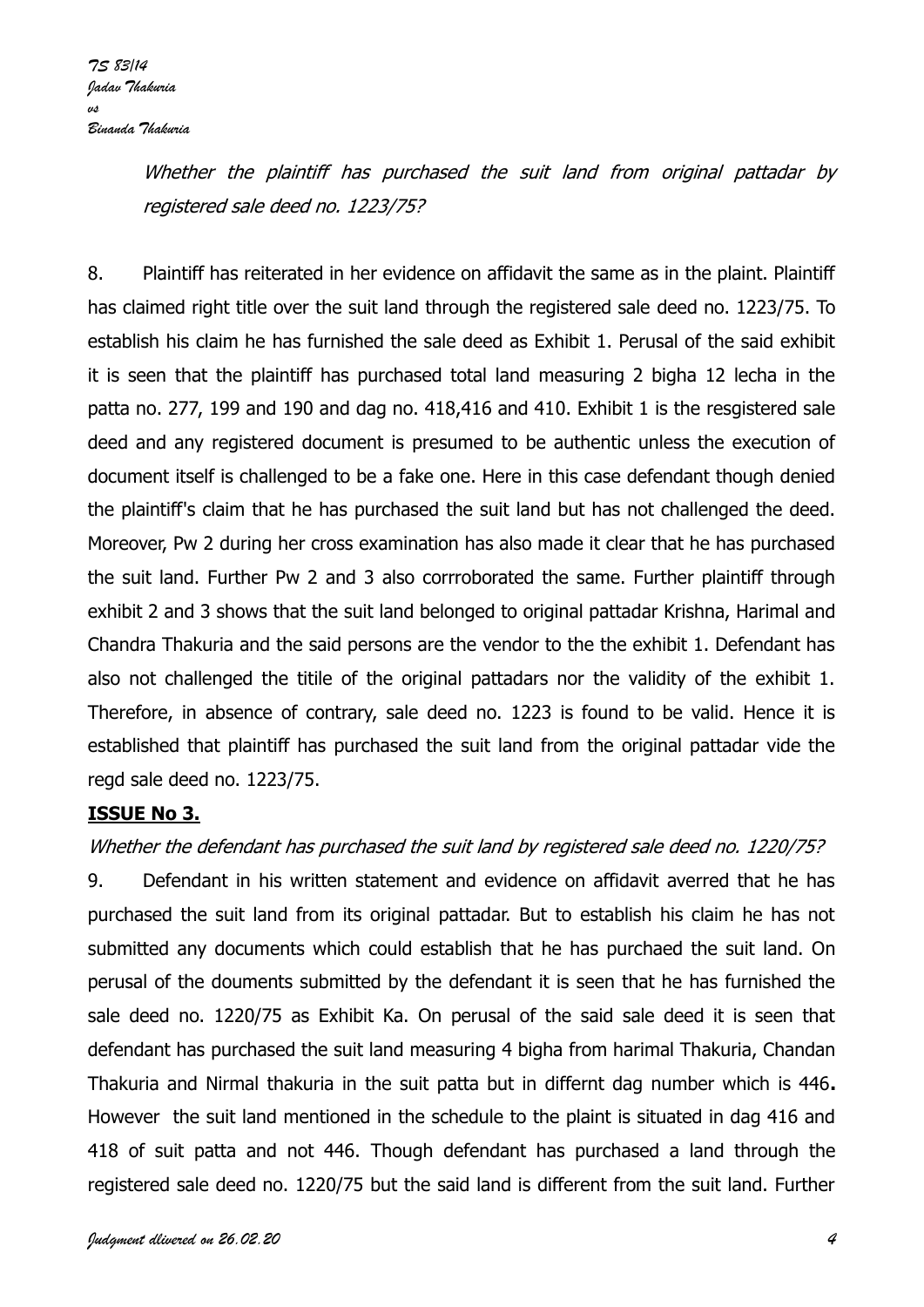Whether the plaintiff has purchased the suit land from original pattadar by registered sale deed no. 1223/75?

8. Plaintiff has reiterated in her evidence on affidavit the same as in the plaint. Plaintiff has claimed right title over the suit land through the registered sale deed no. 1223/75. To establish his claim he has furnished the sale deed as Exhibit 1. Perusal of the said exhibit it is seen that the plaintiff has purchased total land measuring 2 bigha 12 lecha in the patta no. 277, 199 and 190 and dag no. 418,416 and 410. Exhibit 1 is the resgistered sale deed and any registered document is presumed to be authentic unless the execution of document itself is challenged to be a fake one. Here in this case defendant though denied the plaintiff's claim that he has purchased the suit land but has not challenged the deed. Moreover, Pw 2 during her cross examination has also made it clear that he has purchased the suit land. Further Pw 2 and 3 also corrroborated the same. Further plaintiff through exhibit 2 and 3 shows that the suit land belonged to original pattadar Krishna, Harimal and Chandra Thakuria and the said persons are the vendor to the the exhibit 1. Defendant has also not challenged the titile of the original pattadars nor the validity of the exhibit 1. Therefore, in absence of contrary, sale deed no. 1223 is found to be valid. Hence it is established that plaintiff has purchased the suit land from the original pattadar vide the regd sale deed no. 1223/75.

### **ISSUE No 3.**

# Whether the defendant has purchased the suit land by registered sale deed no. 1220/75?

9. Defendant in his written statement and evidence on affidavit averred that he has purchased the suit land from its original pattadar. But to establish his claim he has not submitted any documents which could establish that he has purchaed the suit land. On perusal of the douments submitted by the defendant it is seen that he has furnished the sale deed no. 1220/75 as Exhibit Ka. On perusal of the said sale deed it is seen that defendant has purchased the suit land measuring 4 bigha from harimal Thakuria, Chandan Thakuria and Nirmal thakuria in the suit patta but in differnt dag number which is 446**.**  However the suit land mentioned in the schedule to the plaint is situated in dag 416 and 418 of suit patta and not 446. Though defendant has purchased a land through the registered sale deed no. 1220/75 but the said land is different from the suit land. Further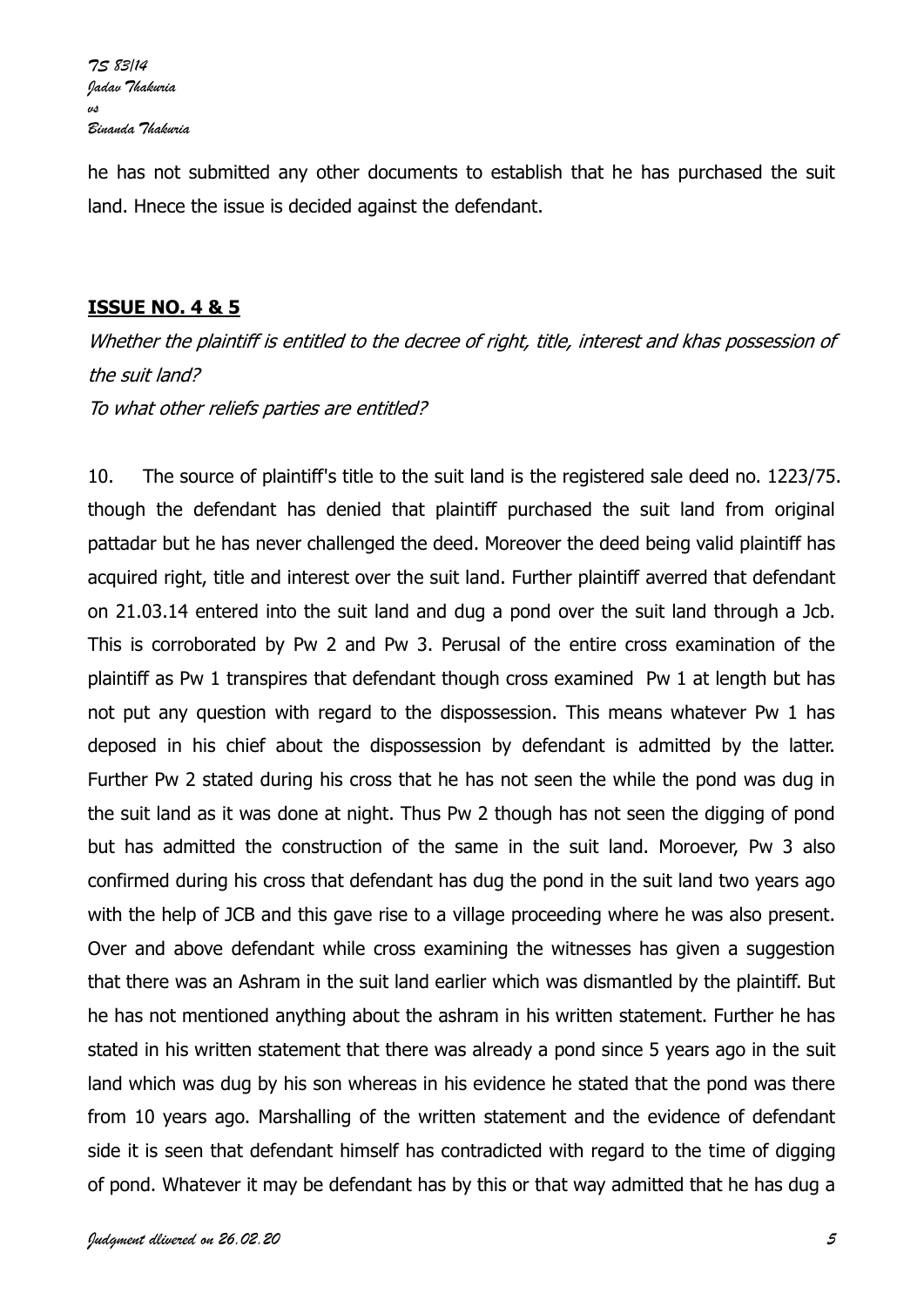he has not submitted any other documents to establish that he has purchased the suit land. Hnece the issue is decided against the defendant.

### **ISSUE NO. 4 & 5**

Whether the plaintiff is entitled to the decree of right, title, interest and khas possession of the suit land? To what other reliefs parties are entitled?

10. The source of plaintiff's title to the suit land is the registered sale deed no. 1223/75. though the defendant has denied that plaintiff purchased the suit land from original pattadar but he has never challenged the deed. Moreover the deed being valid plaintiff has acquired right, title and interest over the suit land. Further plaintiff averred that defendant on 21.03.14 entered into the suit land and dug a pond over the suit land through a Jcb. This is corroborated by Pw 2 and Pw 3. Perusal of the entire cross examination of the plaintiff as Pw 1 transpires that defendant though cross examined Pw 1 at length but has not put any question with regard to the dispossession. This means whatever Pw 1 has deposed in his chief about the dispossession by defendant is admitted by the latter. Further Pw 2 stated during his cross that he has not seen the while the pond was dug in the suit land as it was done at night. Thus Pw 2 though has not seen the digging of pond but has admitted the construction of the same in the suit land. Moroever, Pw 3 also confirmed during his cross that defendant has dug the pond in the suit land two years ago with the help of JCB and this gave rise to a village proceeding where he was also present. Over and above defendant while cross examining the witnesses has given a suggestion that there was an Ashram in the suit land earlier which was dismantled by the plaintiff. But he has not mentioned anything about the ashram in his written statement. Further he has stated in his written statement that there was already a pond since 5 years ago in the suit land which was dug by his son whereas in his evidence he stated that the pond was there from 10 years ago. Marshalling of the written statement and the evidence of defendant side it is seen that defendant himself has contradicted with regard to the time of digging of pond. Whatever it may be defendant has by this or that way admitted that he has dug a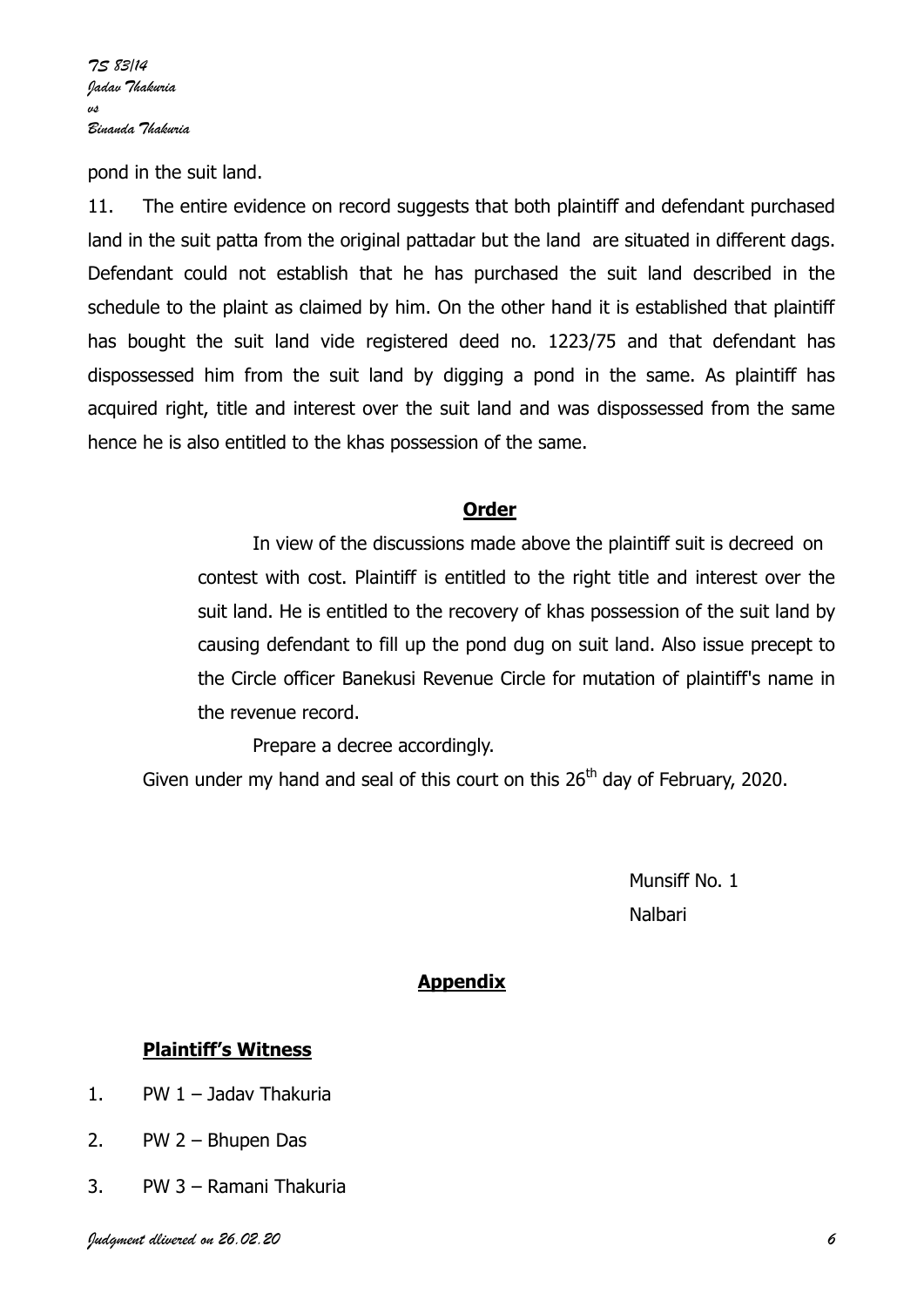pond in the suit land.

11. The entire evidence on record suggests that both plaintiff and defendant purchased land in the suit patta from the original pattadar but the land are situated in different dags. Defendant could not establish that he has purchased the suit land described in the schedule to the plaint as claimed by him. On the other hand it is established that plaintiff has bought the suit land vide registered deed no. 1223/75 and that defendant has dispossessed him from the suit land by digging a pond in the same. As plaintiff has acquired right, title and interest over the suit land and was dispossessed from the same hence he is also entitled to the khas possession of the same.

#### **Order**

In view of the discussions made above the plaintiff suit is decreed on contest with cost. Plaintiff is entitled to the right title and interest over the suit land. He is entitled to the recovery of khas possession of the suit land by causing defendant to fill up the pond dug on suit land. Also issue precept to the Circle officer Banekusi Revenue Circle for mutation of plaintiff's name in the revenue record.

Prepare a decree accordingly.

Given under my hand and seal of this court on this  $26<sup>th</sup>$  day of February, 2020.

 Munsiff No. 1 na barang sa taun 1988. Bagi sa taun 1988 da sa taun 1988 da sa taun 1988. Bagi sa taun 1988 da sa taun 1988 d

# **Appendix**

### **Plaintiff's Witness**

- 1. PW 1 Jadav Thakuria
- 2. PW 2 Bhupen Das
- 3. PW 3 Ramani Thakuria